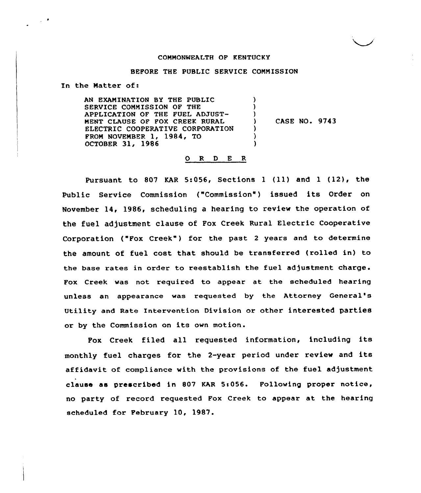# CONNONWEALTH OF KENTUCKY

## BEFORE THE PUBLIC SERVICE COMMISSION

In the Natter of:

 $\sim 10^{-10}$ 

AN EXAMINATION BY THE PUBLIC SERVICE COMMISSION OF THE APPLICATION OF THE FUEL ADJUST-NENT CLAUSE OF FOX CREEK RURAL ELECTRIC COOPERATIVE CORPORATION FRON NOVENBER 1, 1984, TO OCTOBER 31, 1986 ) ) ) ) ) )

) CASE NO. 9743

## ORDER

Pursuant to <sup>807</sup> KAR 5:056, Sections <sup>1</sup> (ll) and <sup>1</sup> (12), the Public Service Commission ("Commission") issued its Order on November 14, 1986, scheduling a hearing to review the operation of the fuel adjustment clause of Fox Creek Rural Electric Cooperative Corporation ("Fox Creek") for the past 2 years and to determine the amount of fuel cost that should be transferred (rolled in) to the base rates in order to reestablish the fuel adjustment charge. Fox Creek was not required to appear at the scheduled hearing unless an appearance was requested by the Attorney General' Utility and Rate Intervention Division or other interested parties or by the Commission on its own motion.

Fox Creek filed all requested information, including its monthly fuel charges for the 2-year period under review and its affidavit of compliance with the provisions of the fuel adjustment clause as prescribed in 807 KAR Sr056. Following proper notice, no party of record requested Fox Creek to appear at the hearing scheduled for February 10, 1987.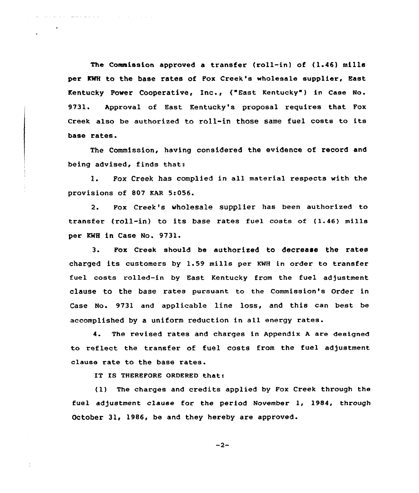The Commission approved a transfer (roll-in) of  $(1.46)$  mills per KWH to the base rates of Fox Creek's wholesale supplier, East Kentucky Power Cooperative, Inc., {"East Kentucky ) in case No. 9731. Approval of East Kentucky's proposal requires that Fox Creek also be authorized to roll-in those same fuel costs to its base rates.

The Commission, having considered the evidence of record and being advised, finds that:

1. Fox Creek has complied in all material respects with the provisions of 807 EAR 5:056.

2. Fox Creek's wholesale supplier has been authorized to transfer {roll-in) to its base rates fuel costs of (1.46) mills per KWH in Case No. 9731.

3. Fox Creek should be authorized to decrease the rates charged its customers by 1.59 mills per KNH in order to transfer fuel costs rolled-in by East Kentucky from the fuel adjustment clause to the base rates pursuant to the Commission's order in Case No. 9731 and applicable line loss, and this can best be accomplished by a uniform reduction in all energy rates.

4. The revised rates and charges in Appendix <sup>A</sup> are designed to reflect the transfer of fuel costs from the fuel adjustment clause rate to the base rates.

IT IS THEREFORE ORDERED that:

 $\mathcal{L}=\{1,2,3,4,5,6,6,8,8,8,8,8\}$ 

(1) The charges and credits applied by Fox Creek through the fuel adjustment clause for the period November 1, 1984, through October 31, 1986, be and they hereby are approved.

 $-2-$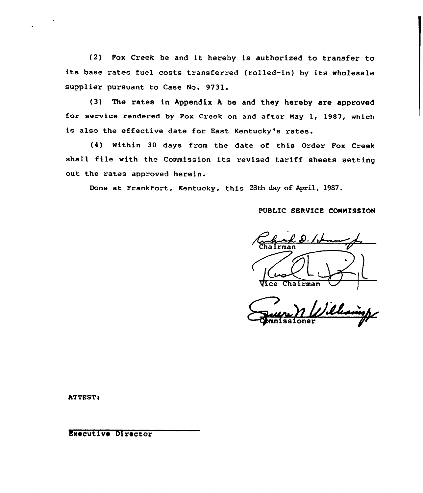(2) Fox Creek be and it hereby is authorized to transfer to its base rates fuel costs transferred (rolled-in) by its wholesale supplier pursuant to Case No. 9731.

(3) The rates in Appendix <sup>A</sup> be and they hereby are approved for service rendered by Fox Creek on and after Nay 1, 1987, which is also the effective date for East Kentucky's rates.

{4) Within 30 days from the date of this Order Fox Creek shall file with the Commission its revised tariff sheets setting out the rates approved herein.

Done at Frankfort, Kentucky, this 28th day of April, 1987.

PUBLIC SERVICE COMMISSION

D. Idement Chairman ce Chairman

**ATTEST:** 

Executive Director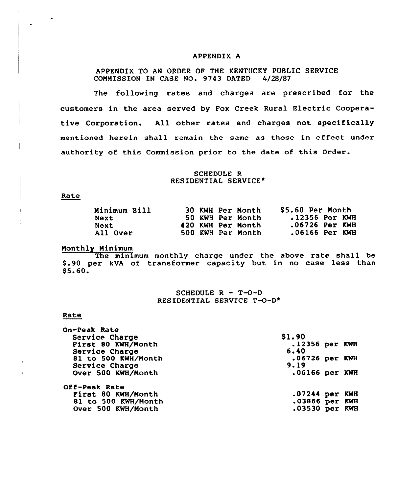## APPENDIX A

APPENDIX TO AN ORDER OF THE KENTUCKY PUBLIC SERVICE COMMISSION IN CASE NO. 9743 DATED 4/28/87

The following rates and charges are prescribed for the customers in the area served by Fox Creek Rural Electric Cooperative Corporation. All other rates and charges not specifically mentioned herein shall remain the same as those in effect under authority of this Commission prior to the date of this Order.

## SCHEDULE R RESIDENTIAL SERVICE\*

### Rate

| Minimum Bill |  | 30 KWH Per Month  | \$5.60 Per Month |
|--------------|--|-------------------|------------------|
| Next         |  | 50 KWH Per Month  | .12356 Per KWH   |
| <b>Next</b>  |  | 420 KWH Per Month | .06726 Per KWH   |
| All Over     |  | 500 KWH Per Month | $.06166$ Per KWH |

### Nonthly Minimum

The minimum monthly charge under the above rate shall be \$.90 per kVA of transformer capacity but in no case less than  $$5.60.$ 

## SCHEDULE  $R - T-O-D$ RESIDENTIAL SERVICE  $T-O-D^*$

#### Rate

| .12356 per KWH   |
|------------------|
|                  |
| .06726 per KWH   |
|                  |
| $.06166$ per KWH |
|                  |
| $.07244$ per KWH |
| .03866 per KWH   |
| $.03530$ per KWH |
|                  |